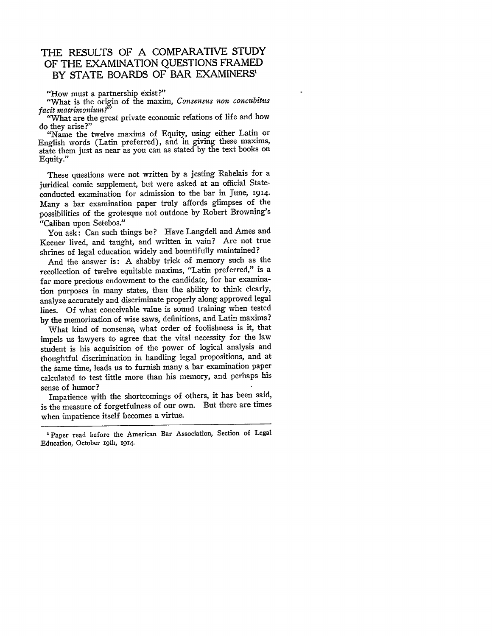## THE **RESULTS** OF **A** COMPARATIVE **STUDY** OF THE **EXAMINATION QUESTIONS** FRAMED BY **STATE** BOARDS OF BAR EXAMINERS

"How must a partnership exist?"

"What is the origin of the maxim, *Consensus non concubitus facit matrimoniumf"*

"What are the great private economic relations of life and how do they arise?"

"Name the twelve maxims of Equity, using either Latin or English words (Latin preferred), and in giving these maxims, state them just as near as you can as stated by the text books on Equity."

These questions were not written by a jesting Rabelais for a juridical comic supplement, but were asked at an official Stateconducted examination for admission to the bar in June, **1914.** Many a bar examination paper truly affords glimpses of the possibilities of the grotesque not outdone by Robert Browning's "Caliban upon Setebos."

You ask: Can such things be? Have Langdell and Ames and Keener lived, and taught, and written in vain? Are not true shrines of legal education widely and bountifully maintained?

And the answer is: A shabby trick of memory such as the recollection of twelve equitable maxims, "Latin preferred," is a far more precious endowment to the candidate, for bar examination purposes in many states, than the ability to think clearly, analyze accurately and discriminate properly along approved legal lines. Of what conceivable value is sound training when tested by the memorization of wise saws, definitions, and Latin maxims?

What kind of nonsense, what order of foolishness is it, that impels us lawyers to agree that the vital necessity for the law student is his acquisition of the power of logical analysis and thoughtful discrimination in handling legal propositions, and at the same time, leads us to furnish many a bar examination paper calculated to test 'little more than his memory, and perhaps his sense of humor?

Impatience with the shortcomings of others, it has been said, is the measure of forgetfulness of our own. But there are times when impatience itself becomes a virtue.

**<sup>1</sup>**Paper read before the American Bar Association, Section of Legal Education, October i9th, i914.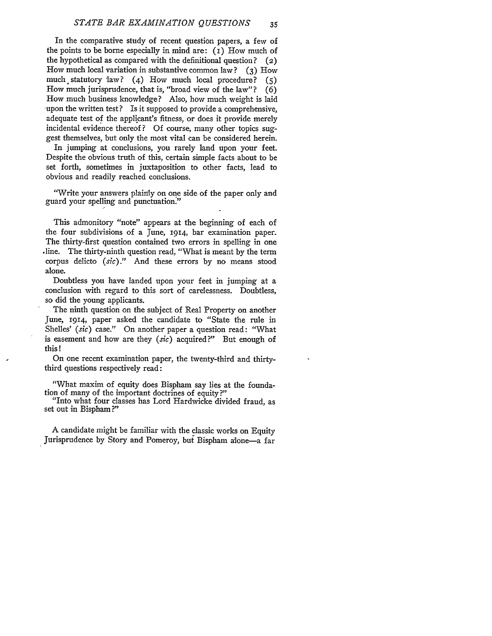In the comparative study of recent question papers, a few of the points to be borne especially in mind are: (i) How much of the hypothetical as compared with the definitional question? (2) How much local variation in substantive common law? (3) How much. statutory law? (4) How much local procedure? (5) How much jurisprudence, that is, "broad view of the law"? (6) How much business knowledge? Also, how much weight is laid upon the written test? Is it supposed to provide a comprehensive, adequate test of the applicant's fitness, or does it provide merely incidental evidence thereof? Of course, many other topics suggest themselves, but only the most vital can be considered herein.

In jumping at conclusions, you rarely land upon your feet. Despite the obvious truth of this, certain simple facts about to be set forth, sometimes in juxtaposition to other facts, lead to obvious and readily reached conclusions.

"Write your answers plainly on one side of the paper only and guard your spelling and punctuation."

This admonitory "note" appears at the beginning of each of the four subdivisions of a June, 1914, bar examination paper. The thirty-first question contained two errors in spelling in one ,line. The thirty-ninth question read, "What is meant by the term corpus delicto *(sic)."* And these errors by no means stood alone.

Doubtless you have landed upon your feet in jumping at a conclusion with regard to this sort of carelessness. Doubtless, so did the young applicants.

The ninth question on the subject of Real Property on another June, 1914, paper asked the candidate to "State the rule in Shelles' *(sic)* case." On another paper a question read: "What is easement and how are they *(sic)* acquired?" But enough of this!

On one recent examination paper, the twenty-third and thirtythird questions respectively read:

"What maxim of equity does Bispham say lies at the foundation of many of the important doctrines of equity ?"

"Into what four classes has Lord Hardwicke divided fraud, as set out in Bispham ?"

A candidate might be familiar with the classic works on Equity Jurisprudence by Story and Pomeroy, but Bispham alone-a far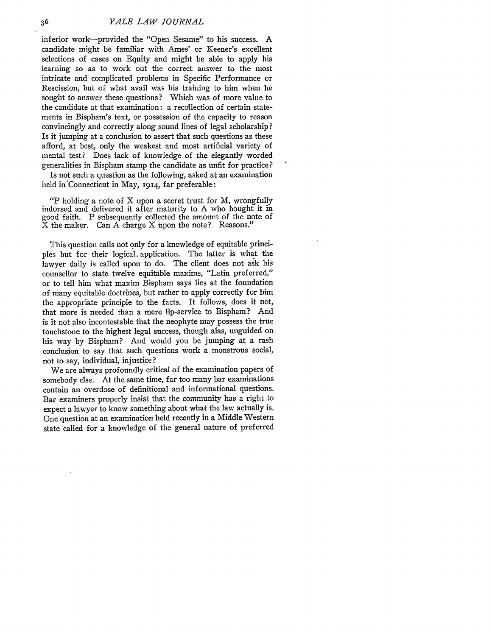inferior work-provided the "Open Sesame" to his success. A candidate might be familiar with Ames' or Keener's excellent selections of cases on Equity and might be able to apply his learning so as to work out the correct answer to the most intricate and complicated problems in Specific Performance or Rescission, but of what avail was his training to him when he sought to answer these questions? Which was of more value to the candidate at that examination: a recollection of certain statements in Bispham's text, or possession of the capacity to reason convincingly and correctly along sound lines of legal scholarship? Is it jumping at a conclusion to assert that such questions as these afford, at best, only the weakest and most artificial variety of mental test? Does lack of knowledge of the elegantly worded generalities in Bispham stamp the candidate as unfit for practice?

Is not such a question as the following, asked at an examination held in'Connecticut in May, 1914, far preferable:

"P holding a note of X upon a secret trust for M, wrongfully indorsed and delivered it after maturity to A who bought it in good faith. P subsequently collected the amount of the note of  $\bar{X}$  the maker. Can A charge X upon the note? Reasons.'

This question calls not only for a knowledge of equitable principles but for their logical, application. The latter is what the lawyer daily is called upon to do. The client does not ask his counsellor to state twelve equitable maxims, "Latin preferred," or to tell him what maxim Bispham says lies at the foundation of many equitable doctrines, but rather to apply correctly for him the appropriate principle to the facts. It follows, does it not, that more is needed than a mere lip-service to Bispham? And is it not also incontestable that the neophyte may possess the true touchstone to the highest legal success, though alas, unguided on his way by Bispham? And would you be jumping at a rash conclusion to say that such questions work a monstrous social, not to say, individual, injustice?

We are always profoundly critical of the examination papers of somebody else. At the same time, far too many bar examinations contain an overdose of definitional and informational questions. Bar examiners properly insist that the community has a right to expect a lawyer to know something about what the law actually is. One question at an examination held recently in a Middle Western state called for a knowledge of the general nature of preferred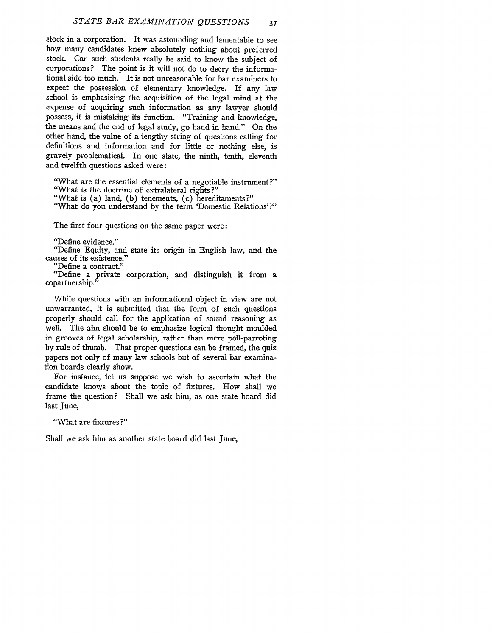stock in a corporation. It was astounding and lamentable to see how many candidates knew absolutely nothing about preferred stock. Can such students really be said to know the subject of corporations? The point is it will not do to decry the informational side too much. It is not unreasonable for bar examiners to expect the possession of elementary knowledge. If any law school is emphasizing the acquisition of the legal mind at the expense of acquiring such information as any lawyer should possess, it is mistaking its function. "Training and knowledge, the means and the end of legal study, go hand in hand." On the other hand, the value of a lengthy string of questions calling for definitions and information and for little or nothing else, is gravely problematical. In one state, the ninth, tenth, eleventh and twelfth questions asked were:

"What are the essential elements of a negotiable instrument?" "What is the doctrine of extralateral rights ?"

"What is (a) land, (b) tenements, (c) hereditaments?"

"What do you understand by the term 'Domestic Relations'?"

The first four questions on the same paper were:

"Define evidence."

"Define Equity, and state its origin in English law, and the causes of its existence."

"Define a contract."

"Define a private corporation, and distinguish it from a copartnership."

While questions with an informational object in view are not unwarranted, it is submitted that the form of such questions properly should call for the application of sound reasoning as well. The aim should be to emphasize logical thought moulded in grooves of legal scholarship, rather than mere poll-parroting **by** rule of thumb. That proper questions can be framed, the quiz papers not only of many law schools but of several bar examination boards clearly show.

For instance, let us suppose we wish to ascertain what the candidate knows about the topic of fixtures. How shall we frame the question? Shall we ask him, as one state board did last June,

"What are fixtures ?"

Shall we ask him as another state board did last June,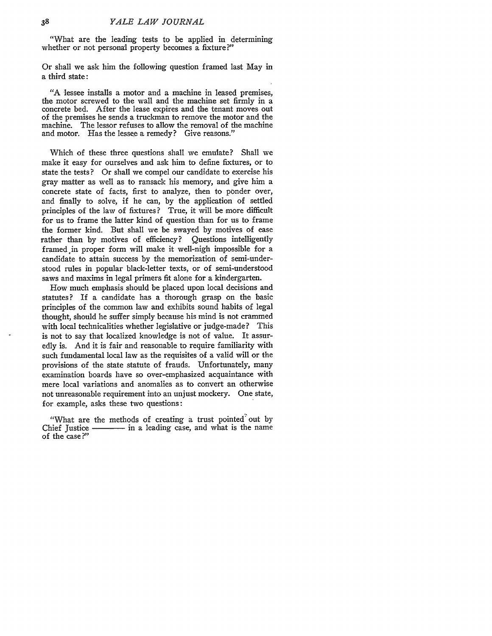"What are the leading tests to be applied in determining whether or not personal property becomes a fixture?"

Or shall we ask him the following question framed last May in a third state:

**"A** lessee installs a motor and a machine in leased premises, the motor screwed to the wall and the machine set firmly in a concrete bed. After the lease expires and the tenant moves out of the premises he sends a truckman to remove the motor and the machine. The lessor refuses to allow the removal of the machine and motor. Has the lessee a remedy? Give reasons."

Which of these three questions shall we emulate? Shall we make it easy for ourselves and ask him to define fixtures, or to state the tests? Or shall we compel our candidate to exercise his gray matter as well as to ransack his memory, and give him a concrete state of facts, first to analyze, then to ponder over, and finally to solve, if he can, by the application of settled principles of the law of fixtures? True, it will be more difficult for us to frame the latter kind of question than for us to frame the former kind. But shall we be swayed by motives of ease rather than by motives of efficiency? Questions intelligently framed in proper form will make it well-nigh impossible for a candidate to attain success by the memorization of semi-understood rules in popular black-letter texts, or of semi-understood saws and maxims in legal primers fit alone for a kindergarten.

How much emphasis should be placed upon local decisions and statutes? If a candidate has a thorough grasp on the basic principles of the common law and exhibits sound habits of legal thought, should he suffer simply because his mind is not crammed with local technicalities whether legislative or judge-made? This is not to say that localized knowledge is not of value. It assuredly is. And it is fair and reasonable to require familiarity with such fundamental local law as the requisites of a valid will or the provisions of the state statute of frauds. Unfortunately, many examination boards have so over-emphasized acquaintance with mere local variations and anomalies as to convert an otherwise not unreasonable requirement into an unjust mockery. One state, for example, asks these two questions:

"What are the methods of creating a trust pointed' out by Chief Justice  $\frac{1}{\sqrt{1-\frac{1}{\sqrt{1-\frac{1}{\sqrt{1-\frac{1}{\sqrt{1-\frac{1}{\sqrt{1-\frac{1}{\sqrt{1-\frac{1}{\sqrt{1-\frac{1}{\sqrt{1-\frac{1}{\sqrt{1-\frac{1}{\sqrt{1-\frac{1}{\sqrt{1-\frac{1}{\sqrt{1-\frac{1}{\sqrt{1-\frac{1}{\sqrt{1-\frac{1}{\sqrt{1-\frac{1}{\sqrt{1-\frac{1}{\sqrt{1-\frac{1}{\sqrt{1-\frac{1}{\sqrt{1-\frac{1}{\sqrt{1-\frac{1}{\sqrt{1-\frac{1}{\sqrt{1-\frac{1}{\sqrt{$ of the case?"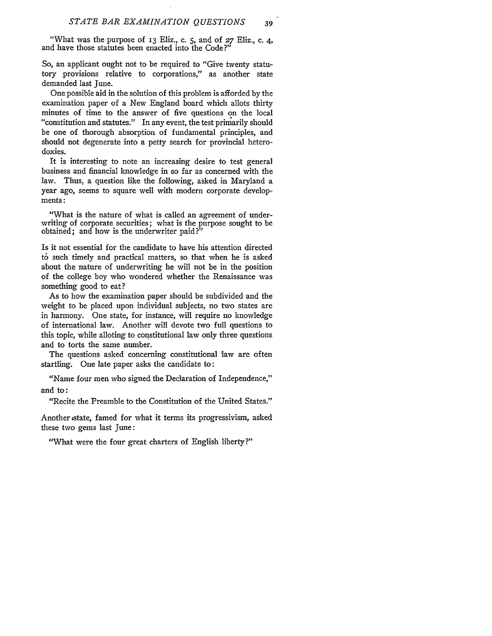39

"What was the purpose of 13 Eliz., **c.** 5, and of **27** Eliz., c. 4, and have those statutes been enacted into the Code?"

So, an applicant ought not to be required to "Give twenty statutory provisions relative to corporations," as another state demanded last June.

One possible aid in the solution of this problem is afforded **by** the examination paper of a New England board which allots thirty minutes of time to the answer of five questions on the local "constitution and statutes." In any event, the test primarily should be one of thorough absorption of fundamental principles, and should not degenerate into a petty search for provincial heterodoxies.

It is interesting to note an increasing desire to test general business and financial knowledge in so far as concerned with the law. Thus, a question like the following, asked in Maryland a year ago, seems to square well with modern corporate developments:

"What is the nature of what is called an agreement of underwriting of corporate securities; what is the purpose sought to be obtained; and how is the underwriter paid?"

Is it not essential for the candidate to have his attention directed to such timely and practical matters, so that when he is asked about the nature of underwriting he will not be in the position of the college boy who wondered whether the Renaissance was something good to eat?

As to how the examination paper should be subdivided and the weight to be placed upon individual subjects, no two states are in harmony. One state, for instance, will require no knowledge of international law. Another will devote two full questions to this topic, while alloting to constitutional law only three questions and to torts the same number.

The questions asked concerning constitutional 'law are often startling. One late paper asks the candidate to:

"Name four men who signed the Declaration of Independence," and to:

"Recite the Preamble to the Constitution of the United States."

Another state, famed for what it terms its progressivism, asked these two gems last June:

"What were the four great charters of English liberty ?"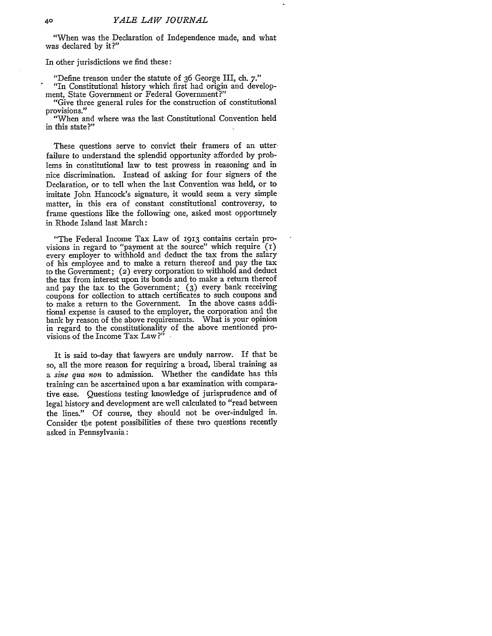"When was the Declaration of Independence made, and what was declared by it?"

In other jurisdictions we find these:

"Define treason under the statute of 36 George III, ch. **7."** "In Constitutional history which first had origin and development, State Government or Federal Government?"

"Give three general rules for the construction of constitutional provisions."

"When and where was the last Constitutional Convention held in this state?"

These questions serve to convict their framers of an utter failure to understand the splendid opportunity afforded by problems in constitutional law to test prowess in reasoning and in nice discrimination. Instead of asking for four signers of the Declaration, or to tell when the last Convention was held, or to imitate John Hancock's signature, it would seem a very simple matter, in this era of constant constitutional controversy, to frame questions like the following one, asked most opportunely in Rhode Island last March:

"The Federal Income Tax Law of 1913 contains certain provisions in regard to "payment at the source" which require (I) every employer to withhold and deduct the tax from the salary of his employee and to make a return thereof and pay the tax to the Government; (2) every corporation to withhold and deduct the tax from interest upon its bonds and to make a return thereof and pay the tax to the Government; **(3)** every bank receiving coupons for collection to attach certificates to such coupons and to make a return to the Government. In the above cases additional expense is caused to the employer, the corporation and the bank by reason of the above requirements. What is your opinion in regard to the constitutionality of the above mentioned provisions of the Income Tax Law ?"

It is said to-day that 'lawyers are unduly narrow. If that be so, all the more reason for requiring a broad, liberal training as *a sine qua non* to admission. Whether the candidate has this training can be ascertained upon a bar examination with comparative ease. Questions testing knowledge of jurisprudence and of legal history and development are well calculated to "read between the lines." Of course, they should not be over-indulged in. Consider the potent possibilities of these two questions recently asked in Pennsylvania:

40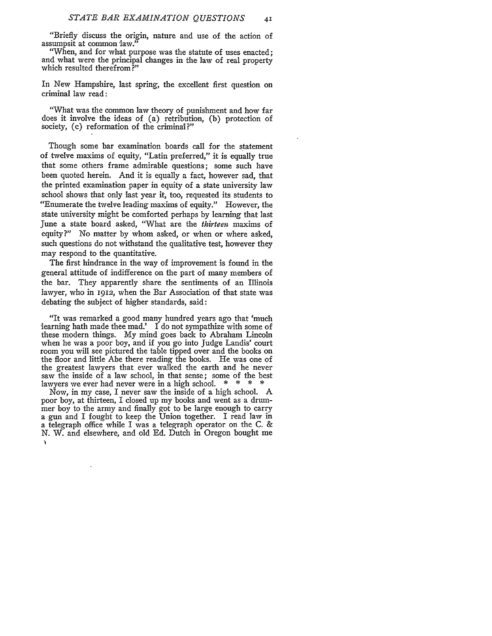"Briefly discuss the origin, nature and use of the action of assumpsit at common law."

"When, and for what purpose was the statute of uses enacted; and what were the principal changes in the law of real property which resulted therefrom?"

In New Hampshire, last spring, the excellent first question on criminal law read:

"What was the common law theory of punishment and how far does it involve the ideas of (a) retribution, (b) protection of society, (c) reformation of the criminal?"

Though some bar examination boards call for the statement of twelve maxims of equity, "Latin preferred," it is equally true that some others frame admirable questions; some such have been quoted herein. And it is equally a fact, however sad, that the printed examination paper in equity of a state university law school shows that only last year it, too, requested its students to "Enumerate the twelve leading maxims of equity." However, the state university might be comforted perhaps by learning that last June a state board asked, "What are the *thirteen* maxims of equity?" No matter by whom asked, or when or where asked, such questions do not withstand the qualitative test, however they may respond to the quantitative.

The first hindrance in the way of improvement is found in the general attitude of indifference on the part of many members of the bar. They apparently share the sentiments of an Illinois lawyer, who in **1912,** when the Bar Association of that state was debating the subject of higher standards, said:

"It was remarked a good many hundred years ago that 'much learning hath made thee mad.' I do not sympathize with some of these modern things. My mind goes back to Abraham Lincoln when he was a poor boy, and if you go into judge Landis' court room you will see pictured the table tipped over and the books on the floor and little Abe there reading the books. He was one of the greatest lawyers that ever walked the earth and he never saw the inside of a law school, in that sense; some of the best lawyers we ever had never were in a high school. **\* \* \* \***

Now, in my case, I never saw the inside of a high school. A poor boy, at thirteen, I closed up my books and went as a drummer boy to the army and finally got to be large enough to carry a gun and I fought to keep the Union together. I read law in a telegraph office while I was a telegraph operator on the C. & N. W. and elsewhere, and old Ed. Dutch in Oregon bought meÀ